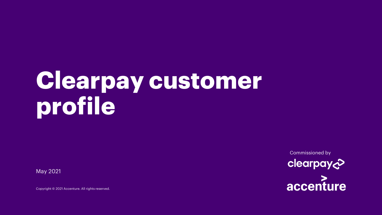# **Clearpay customer profile**

May 2021

Copyright © 2021 Accenture. All rights reserved.

Commissioned byclearpay& accenture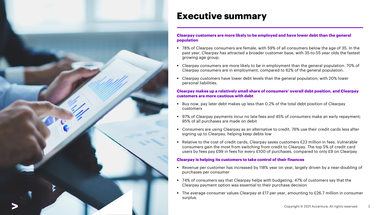

#### **Executive summary**

#### **Clearpay customers are more likely to be employed and have lower debt than the general population**

- 78% of Clearpay consumers are female, with 59% of all consumers below the age of 35. In the past year, Clearpay has attracted a broader customer base, with 35-to-55 year olds the fastest growing age group.
- Clearpay consumers are more likely to be in employment than the general population. 70% of Clearpay consumers are in employment, compared to 62% of the general population.
- Clearpay customers have lower debt levels than the general population, with 20% lower personal liabilities.

#### **Clearpay makes up a relatively small share of consumers' overall debt position, and Clearpay customers are more cautious with debt**

- Buy now, pay later debt makes up less than 0.2% of the total debt position of Clearpay customers
- 97% of Clearpay payments incur no late fees and 45% of consumers make an early repayment; 95% of all purchases are made on debit
- Consumers are using Clearpay as an alternative to credit. 76% use their credit cards less after signing up to Clearpay, helping keep debts low
- Relative to the cost of credit cards, Clearpay saves customers £23 million in fees. Vulnerable consumers gain the most from switching from credit to Clearpay. The top 5% of credit card users by fees pay £99 in fees for every £100 of purchases, compared to only £9 on Clearpay

#### **Clearpay is helping its customers to take control of their finances**

- Revenue per customer has increased by 118% year on year, largely driven by a near-doubling of purchases per consumer
- 74% of consumers say that Clearpay helps with budgeting. 47% of customers say that the Clearpay payment option was essential to their purchase decision
- The average consumer values Clearpay at £17 per year, amounting to £26.7 million in consumer surplus.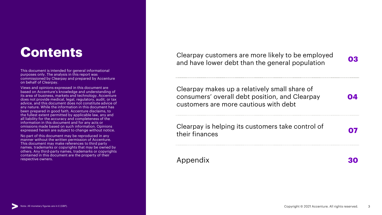### **Contents**

This document is intended for general informational purposes only. The analysis in this report was commissioned by Clearpay and prepared by Accenture on behalf of Clearpay.

Views and opinions expressed in this document are based on Accenture's knowledge and understanding of its area of business, markets and technology. Accenture does not provide medical, legal, regulatory, audit, or tax advice, and this document does not constitute advice of any nature. While the information in this document has been prepared in good faith, Accenture disclaims, to the fullest extent permitted by applicable law, any and all liability for the accuracy and completeness of the information in this document and for any acts or omissions made based on such information. Opinions expressed herein are subject to change without notice.

No part of this document may be reproduced in any manner without the written permission of Accenture. This document may make references to third party names, trademarks or copyrights that may be owned by others. Any third-party names, trademarks or copyrights contained in this document are the property of their respective owners.

Clearpay customers are more likely to be employed and have lower debt than the general population **<sup>03</sup>**

Clearpay makes up a relatively small share of consumers' overall debt position, and Clearpay customers are more cautious with debt

Clearpay is helping its customers take control of creating its customers take control of **07**<br>their finances

Appendix **30**

**04**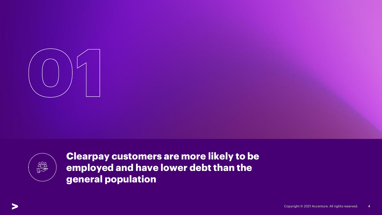



**Clearpay customers are more likely to be employed and have lower debt than the general population**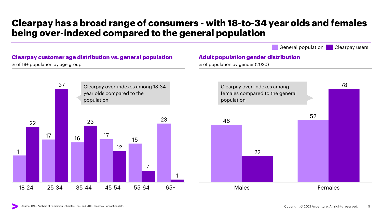### **Clearpay has a broad range of consumers - with 18-to-34 year olds and females being over-indexed compared to the general population**

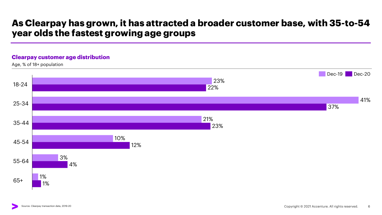### **As Clearpay has grown, it has attracted a broader customer base, with 35-to-54 year olds the fastest growing age groups**

#### **Clearpay customer age distribution**

Age, % of 18+ population

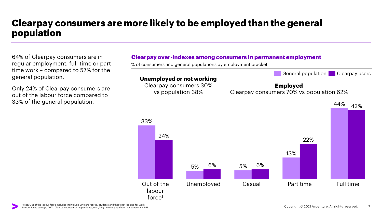### **Clearpay consumers are more likely to be employed than the general population**

64% of Clearpay consumers are in regular employment, full-time or parttime work – compared to 57% for the general population.

Only 24% of Clearpay consumers are out of the labour force compared to 33% of the general population.



% of consumers and general populations by employment bracket

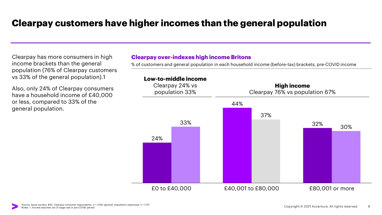### **Clearpay customers have higher incomes than the general population**

Clearpay has more consumers in high income brackets than the general population (76% of Clearpay customers vs 33% of the general population).1

Also, only 24% of Clearpay consumers have a household income of £40,000 or less, compared to 33% of the general population.

#### **Clearpay over-indexes high income Britons**

% of customers and general population in each household income (before-tax) brackets, pre-COVID income

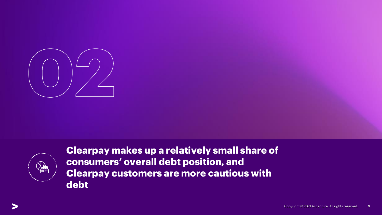



**Clearpay makes up a relatively small share of consumers' overall debt position, and Clearpay customers are more cautious with debt**

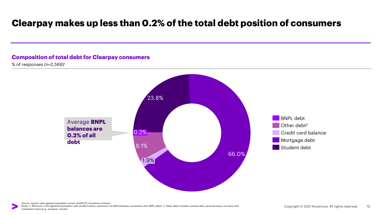### **Clearpay makes up less than 0.2% of the total debt position of consumers**

#### **Composition of total debt for Clearpay consumers**

% of responses (n=2,569)<sup>1</sup>

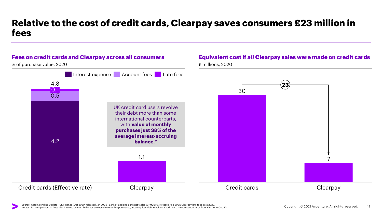### **Relative to the cost of credit cards, Clearpay saves consumers £23 million in fees**



Source: Card Spending Update - UK Finance (Oct 2020, released Jan 2021) ; Bank of England Bankstat tables (CFMZ6IR), released Feb 2021; Clearpay late fees data 2020. Notes: \*For comparison, in Australia, interest-bearing balances are equal to monthly purchases, meaning less debt revolves. Credit card most recent figures from Oct-19 to Oct-20.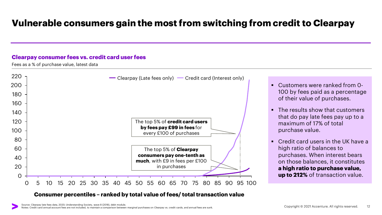### **Vulnerable consumers gain the most from switching from credit to Clearpay**

#### **Clearpay consumer fees vs. credit card user fees**

Fees as a % of purchase value, latest data



#### **Consumer percentiles – ranked by total value of fees/ total transaction value**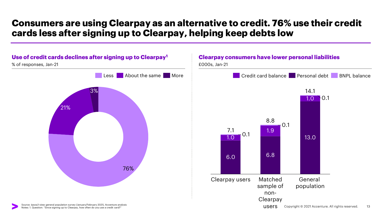### **Consumers are using Clearpay as an alternative to credit. 76% use their credit cards less after signing up to Clearpay, helping keep debts low**



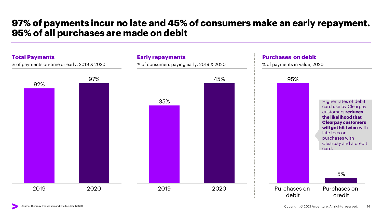### **97% of payments incur no late and 45% of consumers make an early repayment. 95% of all purchases are made on debit**

% of consumers paying early, 2019 & 2020

#### **Total Payments**

% of payments on-time or early, 2019 & 2020



**Early repayments**

#### **Purchases on debit**

% of payments in value, 2020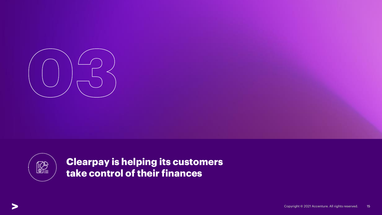



**Clearpay is helping its customers take control of their finances**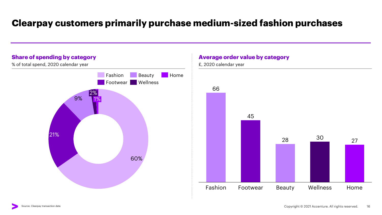### **Clearpay customers primarily purchase medium-sized fashion purchases**



#### **Average order value by category**

£, 2020 calendar year

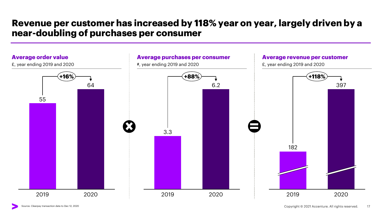### **Revenue per customer has increased by 118% year on year, largely driven by a near-doubling of purchases per consumer**

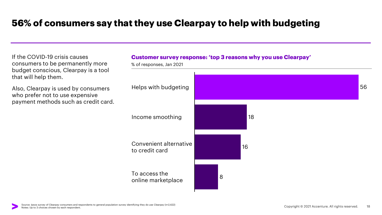### **56% of consumers say that they use Clearpay to help with budgeting**

If the COVID-19 crisis causes consumers to be permanently more budget conscious, Clearpay is a tool that will help them.

Also, Clearpay is used by consumers who prefer not to use expensive payment methods such as credit card.



% of responses, Jan 2021 56 18 16 8 Helps with budgeting Income smoothing Convenient alternative to credit card To access the online marketplace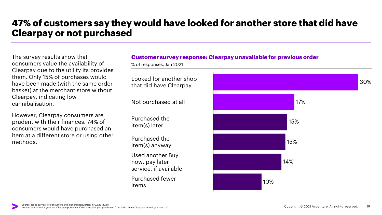### **47% of customers say they would have looked for another store that did have Clearpay or not purchased**

The survey results show that consumers value the availability of Clearpay due to the utility its provides them. Only 15% of purchases would have been made (with the same order basket) at the merchant store without Clearpay, indicating low cannibalisation.

However, Clearpay consumers are prudent with their finances. 74% of consumers would have purchased an item at a different store or using other methods.

#### **Customer survey response: Clearpay unavailable for previous order**

% of responses, Jan 2021

Looked for another shop that did have Clearpay

Not purchased at all

Purchased the item(s) later

Purchased the item(s) anyway Used another Buy now, pay later service, if available Purchased fewer

items

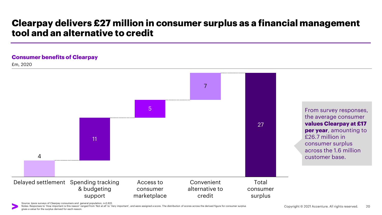### **Clearpay delivers £27 million in consumer surplus as a financial management tool and an alternative to credit**

#### **Consumer benefits of Clearpay**

£m, 2020



Source: Ipsos surveys of Clearpay consumers and general population, n=2,622.

Notes: Responses to 'How important is this reason' ranged from 'Not at all' to 'Very important', and were assigned a score. The distribution of scores across the derived figure for consumer surplus gives a value for the surplus derived for each reason.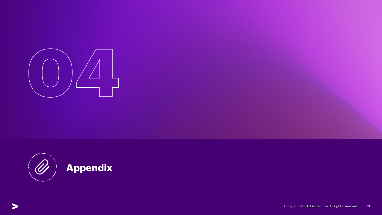



## **Appendix**

Copyright © 2021 Accenture. All rights reserved. 21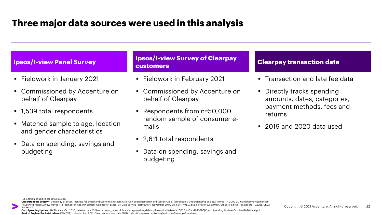### **Three major data sources were used in this analysis**

- Fieldwork in January 2021
- Commissioned by Accenture on behalf of Clearpay
- 1,539 total respondents
- Matched sample to age, location and gender characteristics
- Data on spending, savings and budgeting

**Ipsos/I-view Survey of Clearpay lpsos/I-view Panel Survey <b>Clearpay Clearpay Clearpay transaction data** 

- Fieldwork in February 2021
- Commissioned by Accenture on behalf of Clearpay
- Respondents from n=50,000 random sample of consumer emails
- 2,611 total respondents
- Data on spending, savings and budgeting

- **Transaction and late fee data**
- **•** Directly tracks spending amounts, dates, categories, payment methods, fees and returns
- 2019 and 2020 data used

Full citation of additional data sources:

**Understanding Society –** University of Essex. Institute for Social and Economic Research, NatCen Social Research and Kantar Public, [producers]: Understanding Society: Waves 1-7, 2009-2016 and harmonised British Household Panel Survey: Waves 1-18 [computer file]. 9th Edition. Colchester, Essex: UK Data Service [distributor], November 2017. SN: 6614, http://dx.doi.org/10.5255/UKDA-SN-6614-8.http://dx.doi.org/10.5255/UKDA-SN-6614-9.

**Card Spending Update** - UK Finance (Oct 2020, released Jan 2021) url = https://www.ukfinance.org.uk/sites/default/files/uploads/Data%20(XLS%20and%20PDF)/Card-Spending-Update-October-2020-final.pdf **Bank of England Bankstattables** (CFMZ6IR), released Feb 2021; Clearpay late fees data 2020., url= https://www.bankofengland.co.uk/boeapps/database/